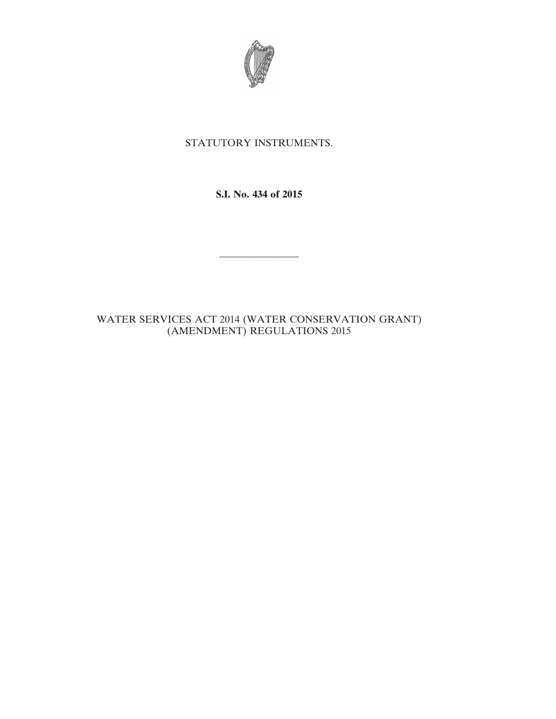

# STATUTORY INSTRUMENTS.

**S.I. No. 434 of 2015**

————————

# WATER SERVICES ACT 2014 (WATER CONSERVATION GRANT) (AMENDMENT) REGULATIONS 2015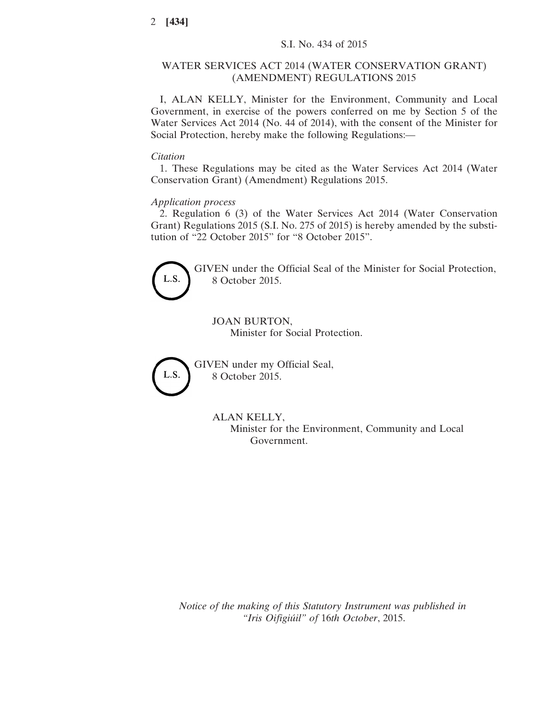### WATER SERVICES ACT 2014 (WATER CONSERVATION GRANT) (AMENDMENT) REGULATIONS 2015

I, ALAN KELLY, Minister for the Environment, Community and Local Government, in exercise of the powers conferred on me by Section 5 of the Water Services Act 2014 (No. 44 of 2014), with the consent of the Minister for Social Protection, hereby make the following Regulations:—

#### *Citation*

1. These Regulations may be cited as the Water Services Act 2014 (Water Conservation Grant) (Amendment) Regulations 2015.

#### *Application process*

2. Regulation 6 (3) of the Water Services Act 2014 (Water Conservation Grant) Regulations 2015 (S.I. No. 275 of 2015) is hereby amended by the substitution of "22 October 2015" for "8 October 2015".



GIVEN under the Official Seal of the Minister for Social Protection, 8 October 2015.

JOAN BURTON, Minister for Social Protection.



GIVEN under my Official Seal, 8 October 2015.

## ALAN KELLY,

Minister for the Environment, Community and Local Government.

*Notice of the making of this Statutory Instrument was published in "Iris Oifigiúil" of* 16*th October*, 2015.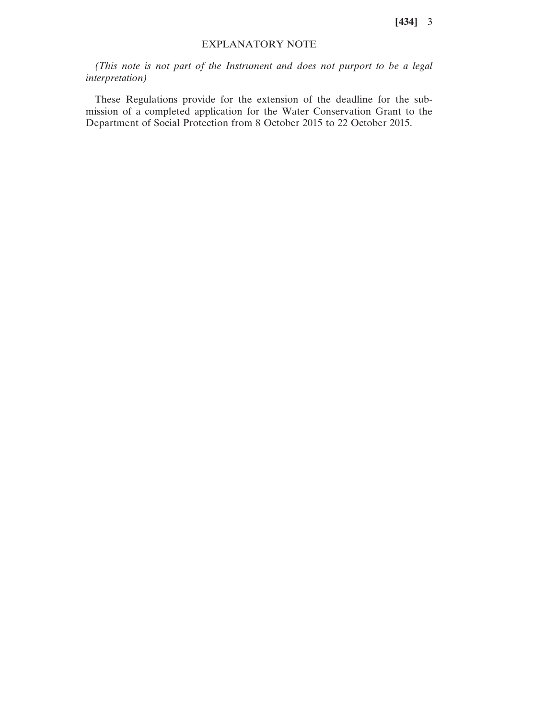**[434]** 3

### EXPLANATORY NOTE

*(This note is not part of the Instrument and does not purport to be a legal interpretation)*

These Regulations provide for the extension of the deadline for the submission of a completed application for the Water Conservation Grant to the Department of Social Protection from 8 October 2015 to 22 October 2015.